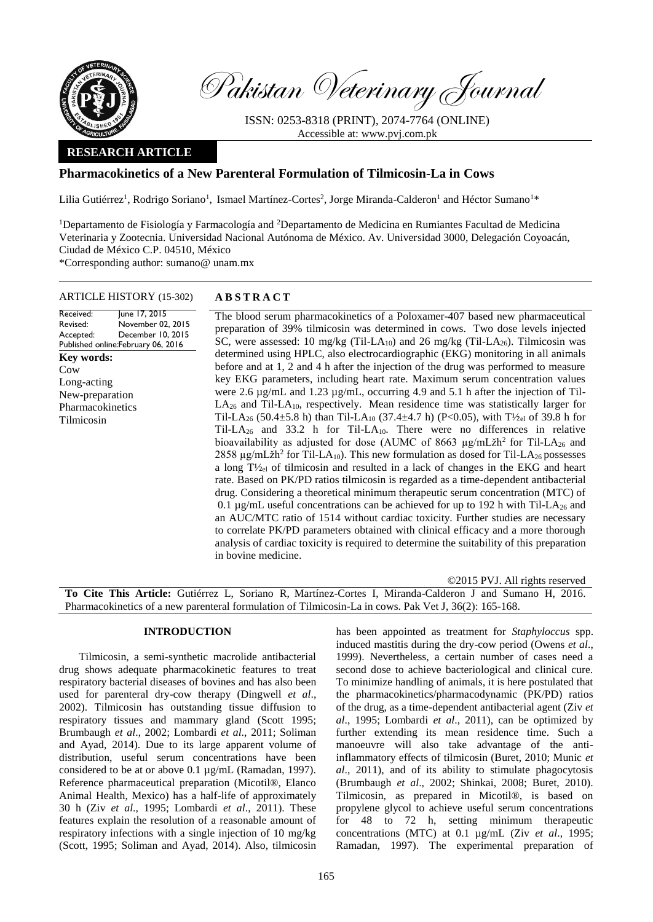

Pakistan Veterinary Journal

ISSN: 0253-8318 (PRINT), 2074-7764 (ONLINE) Accessible at: [www.pvj.com.pk](http://www.pvj.com.pk/)

# **RESEARCH ARTICLE**

# **Pharmacokinetics of a New Parenteral Formulation of Tilmicosin-La in Cows**

Lilia Gutiérrez<sup>1</sup>, Rodrigo Soriano<sup>1</sup>, Ismael Martínez-Cortes<sup>2</sup>, Jorge Miranda-Calderon<sup>1</sup> and Héctor Sumano<sup>1\*</sup>

<sup>1</sup>Departamento de Fisiología y Farmacología and <sup>2</sup>Departamento de Medicina en Rumiantes Facultad de Medicina Veterinaria y Zootecnia. Universidad Nacional Autónoma de México. Av. Universidad 3000, Delegación Coyoacán, Ciudad de México C.P. 04510, México \*Corresponding author: sumano@ unam.mx

### ARTICLE HISTORY (15-302) **A B S T R A C T**

Received: Revised: Accepted: Published online: February 06, 2016 June 17, 2015 November 02, 2015 December 10, 2015 The blood serum pharmacokinetics of a Poloxamer-407 based new pharmaceutical preparation of 39% tilmicosin was determined in cows. Two dose levels injected SC, were assessed: 10 mg/kg (Til-LA<sub>10</sub>) and 26 mg/kg (Til-LA<sub>26</sub>). Tilmicosin was determined using HPLC, also electrocardiographic (EKG) monitoring in all animals before and at 1, 2 and 4 h after the injection of the drug was performed to measure key EKG parameters, including heart rate. Maximum serum concentration values were 2.6 µg/mL and 1.23 µg/mL, occurring 4.9 and 5.1 h after the injection of Til- $LA<sub>26</sub>$  and Til-LA<sub>10</sub>, respectively. Mean residence time was statistically larger for Til-LA<sub>26</sub> (50.4 $\pm$ 5.8 h) than Til-LA<sub>10</sub> (37.4 $\pm$ 4.7 h) (P<0.05), with T<sup>1</sup>/<sub>2el</sub> of 39.8 h for Til-LA<sub>26</sub> and 33.2 h for Til-LA<sub>10</sub>. There were no differences in relative bioavailability as adjusted for dose (AUMC of 8663  $\mu$ g/mLžh<sup>2</sup> for Til-LA<sub>26</sub> and 2858 µg/mLžh<sup>2</sup> for Til-LA<sub>10</sub>). This new formulation as dosed for Til-LA<sub>26</sub> possesses a long  $T\mathcal{V}_{\text{el}}$  of tilmicosin and resulted in a lack of changes in the EKG and heart rate. Based on PK/PD ratios tilmicosin is regarded as a time-dependent antibacterial drug. Considering a theoretical minimum therapeutic serum concentration (MTC) of 0.1  $\mu$ g/mL useful concentrations can be achieved for up to 192 h with Til-LA<sub>26</sub> and an AUC/MTC ratio of 1514 without cardiac toxicity. Further studies are necessary to correlate PK/PD parameters obtained with clinical efficacy and a more thorough analysis of cardiac toxicity is required to determine the suitability of this preparation in bovine medicine. **Key words:**  Cow Long-acting New-preparation Pharmacokinetics Tilmicosin

©2015 PVJ. All rights reserved **To Cite This Article:** Gutiérrez L, Soriano R, Martínez-Cortes I, Miranda-Calderon J and Sumano H, 2016. Pharmacokinetics of a new parenteral formulation of Tilmicosin-La in cows. Pak Vet J, 36(2): 165-168.

# **INTRODUCTION**

Tilmicosin, a semi-synthetic macrolide antibacterial drug shows adequate pharmacokinetic features to treat respiratory bacterial diseases of bovines and has also been used for parenteral dry-cow therapy (Dingwell *et al*., 2002). Tilmicosin has outstanding tissue diffusion to respiratory tissues and mammary gland (Scott 1995; Brumbaugh *et al*., 2002; Lombardi *et al*., 2011; Soliman and Ayad, 2014). Due to its large apparent volume of distribution, useful serum concentrations have been considered to be at or above 0.1 µg/mL (Ramadan, 1997). Reference pharmaceutical preparation (Micotil®, Elanco Animal Health, Mexico) has a half-life of approximately 30 h (Ziv *et al*., 1995; Lombardi *et al*., 2011). These features explain the resolution of a reasonable amount of respiratory infections with a single injection of 10 mg/kg (Scott, 1995; Soliman and Ayad, 2014). Also, tilmicosin has been appointed as treatment for *Staphyloccus* spp. induced mastitis during the dry-cow period (Owens *et al*., 1999). Nevertheless, a certain number of cases need a second dose to achieve bacteriological and clinical cure. To minimize handling of animals, it is here postulated that the pharmacokinetics/pharmacodynamic (PK/PD) ratios of the drug, as a time-dependent antibacterial agent (Ziv *et al*., 1995; Lombardi *et al*., 2011), can be optimized by further extending its mean residence time. Such a manoeuvre will also take advantage of the antiinflammatory effects of tilmicosin (Buret, 2010; Munic *et al*., 2011), and of its ability to stimulate phagocytosis (Brumbaugh *et al*., 2002; Shinkai, 2008; Buret, 2010). Tilmicosin, as prepared in Micotil®, is based on propylene glycol to achieve useful serum concentrations for 48 to 72 h, setting minimum therapeutic concentrations (MTC) at 0.1 µg/mL (Ziv *et al*., 1995; Ramadan, 1997). The experimental preparation of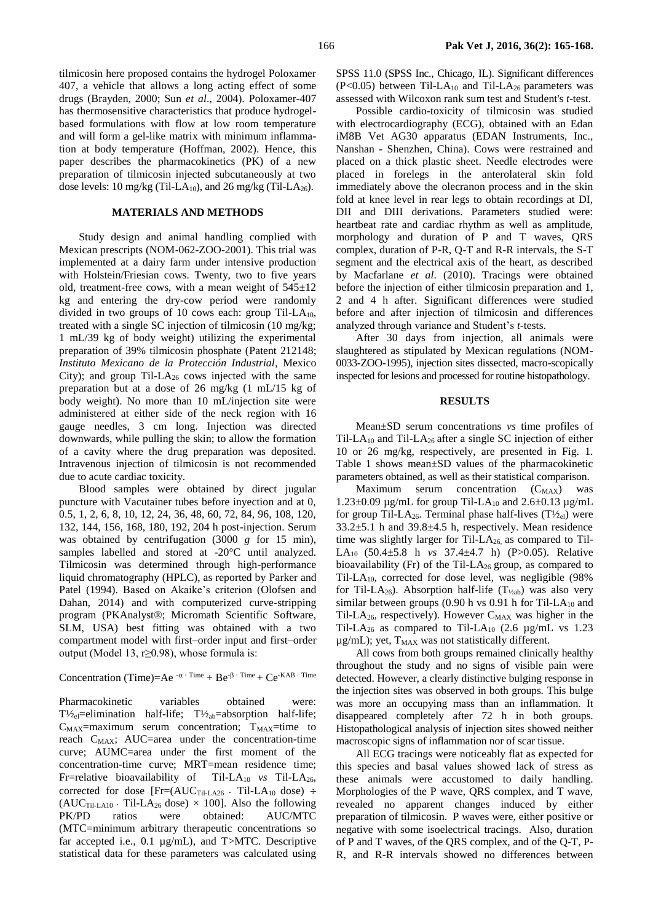tilmicosin here proposed contains the hydrogel Poloxamer 407, a vehicle that allows a long acting effect of some drugs (Brayden, 2000; Sun *et al*., 2004). Poloxamer-407 has thermosensitive characteristics that produce hydrogelbased formulations with flow at low room temperature and will form a gel-like matrix with minimum inflammation at body temperature (Hoffman, 2002). Hence, this paper describes the pharmacokinetics (PK) of a new preparation of tilmicosin injected subcutaneously at two dose levels: 10 mg/kg (Til-LA<sub>10</sub>), and 26 mg/kg (Til-LA<sub>26</sub>).

# **MATERIALS AND METHODS**

Study design and animal handling complied with Mexican prescripts (NOM-062-ZOO-2001). This trial was implemented at a dairy farm under intensive production with Holstein/Friesian cows. Twenty, two to five years old, treatment-free cows, with a mean weight of  $545\pm12$ kg and entering the dry-cow period were randomly divided in two groups of 10 cows each: group Til-LA<sub>10</sub>, treated with a single SC injection of tilmicosin (10 mg/kg; 1 mL/39 kg of body weight) utilizing the experimental preparation of 39% tilmicosin phosphate (Patent 212148; *Instituto Mexicano de la Protección Industrial*, Mexico City); and group Til-LA<sup>26</sup> cows injected with the same preparation but at a dose of 26 mg/kg (1 mL/15 kg of body weight). No more than 10 mL/injection site were administered at either side of the neck region with 16 gauge needles, 3 cm long. Injection was directed downwards, while pulling the skin; to allow the formation of a cavity where the drug preparation was deposited. Intravenous injection of tilmicosin is not recommended due to acute cardiac toxicity.

Blood samples were obtained by direct jugular puncture with Vacutainer tubes before inyection and at 0, 0.5, 1, 2, 6, 8, 10, 12, 24, 36, 48, 60, 72, 84, 96, 108, 120, 132, 144, 156, 168, 180, 192, 204 h post-injection. Serum was obtained by centrifugation (3000 *g* for 15 min), samples labelled and stored at -20°C until analyzed. Tilmicosin was determined through high-performance liquid chromatography (HPLC), as reported by [Parker](http://pubs.rsc.org/en/results?searchtext=Author%3ARichard%20M.%20Parker) and [Patel](http://pubs.rsc.org/en/results?searchtext=Author%3ARaj%20K.%20P.%20Patel) (1994). Based on Akaike's criterion (Olofsen and Dahan, 2014) and with computerized curve-stripping program (PKAnalyst®; Micromath Scientific Software, SLM, USA) best fitting was obtained with a two compartment model with first–order input and first–order output (Model 13, r≥0.98), whose formula is:

# Concentration (Time)=Ae  $-a \cdot$  Time + Be<sup>-β · Time</sup> + Ce<sup>-KAB · Time</sup>

Pharmacokinetic variables obtained were:  $T\frac{1}{2}$ elimination half-life;  $T\frac{1}{2}$ <sub>ab</sub>=absorption half-life;  $C_{MAX}$ =maximum serum concentration;  $T_{MAX}$ =time to reach  $C_{MAX}$ ; AUC=area under the concentration-time curve; AUMC=area under the first moment of the concentration-time curve; MRT=mean residence time; Fr=relative bioavailability of Til-LA<sub>10</sub> *vs* Til-LA<sub>26</sub>, corrected for dose  $[Fr=(AUC_{Ti1\text{-}LA26} \cdot Ti1\text{-}LA_{10} \text{ dose})$  ÷  $(AUC_{Til-LA10} \cdot Til-LA_{26}$  dose)  $\times$  100]. Also the following PK/PD ratios were obtained: AUC/MTC (MTC=minimum arbitrary therapeutic concentrations so far accepted i.e., 0.1 µg/mL), and T>MTC. Descriptive statistical data for these parameters was calculated using

SPSS 11.0 (SPSS Inc., Chicago, IL). Significant differences  $(P<0.05)$  between Til-LA<sub>10</sub> and Til-LA<sub>26</sub> parameters was assessed with Wilcoxon rank sum test and Student's *t*-test.

Possible cardio-toxicity of tilmicosin was studied with electrocardiography (ECG), obtained with an Edan iM8B Vet AG30 apparatus (EDAN Instruments, Inc., Nanshan - Shenzhen, China). Cows were restrained and placed on a thick plastic sheet. Needle electrodes were placed in forelegs in the anterolateral skin fold immediately above the olecranon process and in the skin fold at knee level in rear legs to obtain recordings at DI, DII and DIII derivations. Parameters studied were: heartbeat rate and cardiac rhythm as well as amplitude, morphology and duration of P and T waves, QRS complex, duration of P-R, Q-T and R-R intervals, the S-T segment and the electrical axis of the heart, as described by Macfarlane *et al*. (2010). Tracings were obtained before the injection of either tilmicosin preparation and 1, 2 and 4 h after. Significant differences were studied before and after injection of tilmicosin and differences analyzed through variance and Student's *t*-tests.

After 30 days from injection, all animals were slaughtered as stipulated by Mexican regulations (NOM-0033-ZOO-1995), injection sites dissected, macro-scopically inspected for lesions and processed for routine histopathology.

#### **RESULTS**

Mean±SD serum concentrations *vs* time profiles of Til-LA<sub>10</sub> and Til-LA<sub>26</sub> after a single SC injection of either 10 or 26 mg/kg, respectively, are presented in Fig. 1. Table 1 shows mean±SD values of the pharmacokinetic parameters obtained, as well as their statistical comparison.

Maximum serum concentration  $(C_{MAX})$  was 1.23 $\pm$ 0.09 µg/mL for group Til-LA<sub>10</sub> and 2.6 $\pm$ 0.13 µg/mL for group Til-LA<sub>26</sub>. Terminal phase half-lives  $(T\frac{1}{2}e_1)$  were 33.2±5.1 h and 39.8±4.5 h, respectively. Mean residence time was slightly larger for Til-L $A_{26}$ , as compared to Til-LA10 (50.4±5.8 h *vs* 37.4±4.7 h) (P>0.05). Relative bioavailability (Fr) of the Til-LA $_{26}$  group, as compared to Til-LA10, corrected for dose level, was negligible (98% for Til-LA<sub>26</sub>). Absorption half-life (T<sub>1/2ab</sub>) was also very similar between groups (0.90 h vs  $0.91$  h for Til-LA<sub>10</sub> and Til-LA<sub>26</sub>, respectively). However  $C_{MAX}$  was higher in the Til-LA<sub>26</sub> as compared to Til-LA<sub>10</sub> (2.6  $\mu$ g/mL vs 1.23  $\mu$ g/mL); yet, T<sub>MAX</sub> was not statistically different.

All cows from both groups remained clinically healthy throughout the study and no signs of visible pain were detected. However, a clearly distinctive bulging response in the injection sites was observed in both groups. This bulge was more an occupying mass than an inflammation. It disappeared completely after 72 h in both groups. Histopathological analysis of injection sites showed neither macroscopic signs of inflammation nor of scar tissue.

All ECG tracings were noticeably flat as expected for this species and basal values showed lack of stress as these animals were accustomed to daily handling. Morphologies of the P wave, QRS complex, and T wave, revealed no apparent changes induced by either preparation of tilmicosin. P waves were, either positive or negative with some isoelectrical tracings. Also, duration of P and T waves, of the QRS complex, and of the Q-T, P-R, and R-R intervals showed no differences between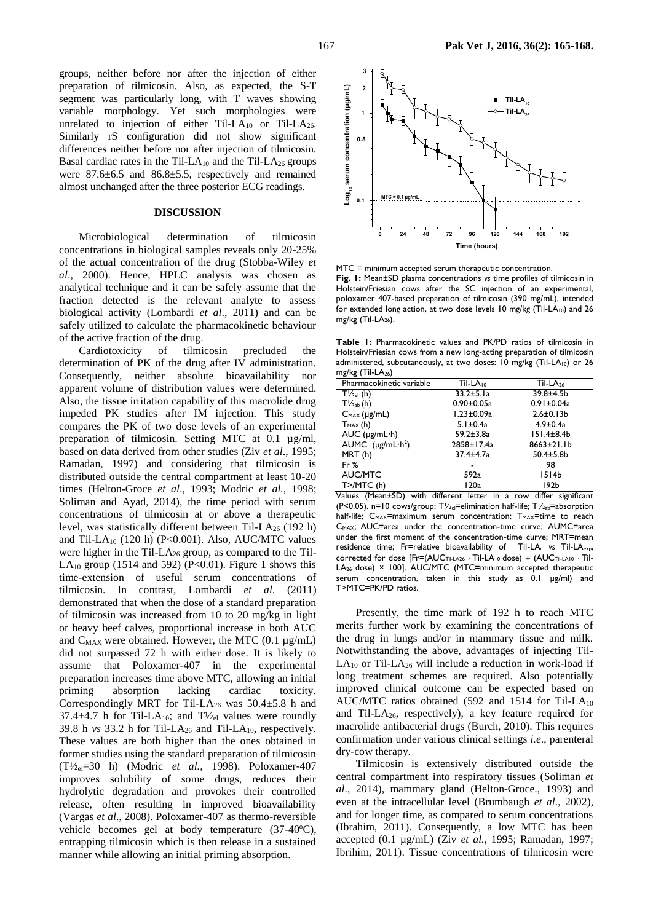groups, neither before nor after the injection of either preparation of tilmicosin. Also, as expected, the S-T segment was particularly long, with T waves showing variable morphology. Yet such morphologies were unrelated to injection of either Til-LA<sub>10</sub> or Til-LA<sub>26</sub>. Similarly rS configuration did not show significant differences neither before nor after injection of tilmicosin. Basal cardiac rates in the Til-LA $_{10}$  and the Til-LA $_{26}$  groups were 87.6±6.5 and 86.8±5.5, respectively and remained almost unchanged after the three posterior ECG readings.

# **DISCUSSION**

Microbiological determination of tilmicosin concentrations in biological samples reveals only 20-25% of the actual concentration of the drug (Stobba-Wiley *et al*., 2000). Hence, HPLC analysis was chosen as analytical technique and it can be safely assume that the fraction detected is the relevant analyte to assess biological activity (Lombardi *et al*., 2011) and can be safely utilized to calculate the pharmacokinetic behaviour of the active fraction of the drug.

Cardiotoxicity of tilmicosin precluded the determination of PK of the drug after IV administration. Consequently, neither absolute bioavailability nor apparent volume of distribution values were determined. Also, the tissue irritation capability of this macrolide drug impeded PK studies after IM injection. This study compares the PK of two dose levels of an experimental preparation of tilmicosin. Setting MTC at 0.1 µg/ml, based on data derived from other studies (Ziv *et al*., 1995; Ramadan, 1997) and considering that tilmicosin is distributed outside the central compartment at least 10-20 times (Helton-Groce *et al*., 1993; Modric *et al.,* 1998; Soliman and Ayad, 2014), the time period with serum concentrations of tilmicosin at or above a therapeutic level, was statistically different between Til-LA $_{26}$  (192 h) and Til-LA<sub>10</sub> (120 h) (P<0.001). Also, AUC/MTC values were higher in the Til-L $A_{26}$  group, as compared to the Til-LA<sub>10</sub> group (1514 and 592) (P<0.01). Figure 1 shows this time-extension of useful serum concentrations of tilmicosin. In contrast, Lombardi *et al*. (2011) demonstrated that when the dose of a standard preparation of tilmicosin was increased from 10 to 20 mg/kg in light or heavy beef calves, proportional increase in both AUC and  $C_{MAX}$  were obtained. However, the MTC (0.1  $\mu$ g/mL) did not surpassed 72 h with either dose. It is likely to assume that Poloxamer-407 in the experimental preparation increases time above MTC, allowing an initial priming absorption lacking cardiac toxicity. Correspondingly MRT for Til-LA<sub>26</sub> was  $50.4 \pm 5.8$  h and 37.4 $\pm$ 4.7 h for Til-LA<sub>10</sub>; and T<sup>1</sup>/<sub>2el</sub> values were roundly 39.8 h  $vs$  33.2 h for Til-LA<sub>26</sub> and Til-LA<sub>10</sub>, respectively. These values are both higher than the ones obtained in former studies using the standard preparation of tilmicosin (T½el=30 h) (Modric *et al.,* 1998). Poloxamer-407 improves solubility of some drugs, reduces their hydrolytic degradation and provokes their controlled release, often resulting in improved bioavailability (Vargas *et al*., 2008). Poloxamer-407 as thermo-reversible vehicle becomes gel at body temperature (37-40ºC), entrapping tilmicosin which is then release in a sustained manner while allowing an initial priming absorption.



MTC = minimum accepted serum therapeutic concentration. **Fig. 1:** Mean±SD plasma concentrations *vs* time profiles of tilmicosin in Holstein/Friesian cows after the SC injection of an experimental, poloxamer 407-based preparation of tilmicosin (390 mg/mL), intended for extended long action, at two dose levels 10 mg/kg (Til-LA<sub>10</sub>) and 26 mg/kg  $(Til-LA<sub>26</sub>)$ .

**Table 1:** Pharmacokinetic values and PK/PD ratios of tilmicosin in Holstein/Friesian cows from a new long-acting preparation of tilmicosin administered, subcutaneously, at two doses: 10 mg/kg (Til-LA<sub>10</sub>) or 26  $m = \frac{m}{2}$ 

| $\frac{1}{12}$ KX (111 - LA $\frac{1}{26}$ ) |                      |                   |
|----------------------------------------------|----------------------|-------------------|
| Pharmacokinetic variable                     | Til-LA <sub>10</sub> | $Til-LA26$        |
| $T\frac{1}{2}$ el (h)                        | $33.2 \pm 5.1a$      | 39.8±4.5b         |
| $T\frac{1}{2ab}$ (h)                         | $0.90 \pm 0.05a$     | $0.91 \pm 0.04a$  |
| $C_{MAX}(\mu g/mL)$                          | $1.23 \pm 0.09a$     | $2.6 \pm 0.13 b$  |
| $T_{MAX}(h)$                                 | $5.1 \pm 0.4a$       | $4.9 \pm 0.4a$    |
| $AUC$ ( $\mu$ g/mL·h)                        | $59.2 \pm 3.8$ a     | $151.4 \pm 8.4 b$ |
| AUMC $(\mu g/mL \cdot h^2)$                  | 2858±17.4a           | 8663±21.1b        |
| MRT(h)                                       | 37.4±4.7a            | $50.4 \pm 5.8$ b  |
| Fr $%$                                       |                      | 98                |
| AUC/MTC                                      | 592a                 | 1514 <sub>b</sub> |
| $T$ $>$ /MTC (h)                             | 120a                 | 192b              |
|                                              |                      |                   |

Values (Mean±SD) with different letter in a row differ significant (P<0.05). n=10 cows/group; T½el=elimination half-life; T½ab=absorption half-life;  $C_{MAX}$ =maximum serum concentration;  $T_{MAX}$ =time to reach C<sub>MAX</sub>; AUC=area under the concentration-time curve; AUMC=area under the first moment of the concentration-time curve; MRT=mean residence time; Fr=relative bioavailability of Til-LA<sub>r</sub> vs Til-LA<sub>exp</sub>, corrected for dose [Fr=(AUCTil-LA26 **·** Til-LA10 dose) (AUCTil-LA10 **·** Til-LA<sub>26</sub> dose) × 100]. AUC/MTC (MTC=minimum accepted therapeutic serum concentration, taken in this study as 0.1 µg/ml) and T>MTC=PK/PD ratios.

Presently, the time mark of 192 h to reach MTC merits further work by examining the concentrations of the drug in lungs and/or in mammary tissue and milk. Notwithstanding the above, advantages of injecting Til- $LA_{10}$  or Til-LA<sub>26</sub> will include a reduction in work-load if long treatment schemes are required. Also potentially improved clinical outcome can be expected based on AUC/MTC ratios obtained (592 and 1514 for Til-LA<sub>10</sub> and Til-LA $_{26}$ , respectively), a key feature required for macrolide antibacterial drugs (Burch, 2010). This requires confirmation under various clinical settings *i.e*., parenteral dry-cow therapy.

Tilmicosin is extensively distributed outside the central compartment into respiratory tissues (Soliman *et al*., 2014), mammary gland (Helton-Groce., 1993) and even at the intracellular level (Brumbaugh *et al*., 2002), and for longer time, as compared to serum concentrations (Ibrahim, 2011). Consequently, a low MTC has been accepted (0.1 µg/mL) (Ziv *et al.*, 1995; Ramadan, 1997; Ibrihim, 2011). Tissue concentrations of tilmicosin were